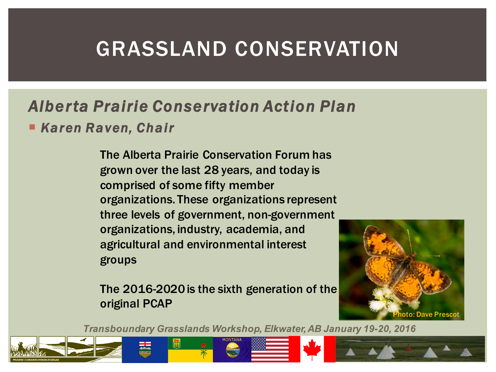## GRASSLAND CONSERVATION

### *Alberta Prairie Conservation Action Plan*

¡ *Karen Raven, Chair*

The Alberta Prairie Conservation Forum has grown over the last 28 years, and today is comprised of some fifty member organizations. These organizations represent three levels of government, non-government organizations, industry, academia, and agricultural and environmental interest groups

The 2016-2020 is the sixth generation of the original PCAP

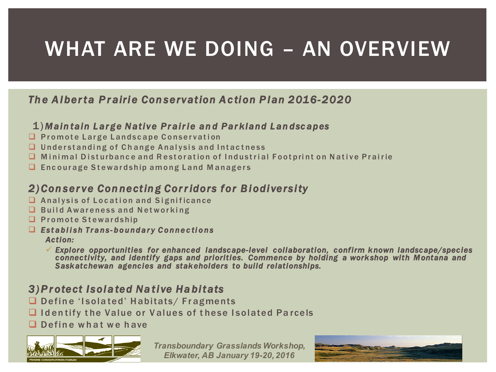## WHAT ARE WE DOING – AN OVERVIEW

#### *Th e A l ber ta P r airi e Con servation A c ti on P l an 2016-2020*

#### 1) *Maintain Large Native Prairie an d Parkland Lan dsc apes*

- $\Box$  P r o m o t e L a r g e L and s c a p e C on servation
- $\Box$  Understanding of Change Analysis and Intactness
- $\Box$  Minimal Disturbance and Restoration of Industrial Footprint on Native Prairie
- $\Box$  Encourage Stewardship among Land Managers

#### *2)Conserve Con nectin g Cor r idors for Biodiversity*

- $\Box$  Analysis of Location and Significance
- $\Box$  Build Awareness and Networking
- **Q** Promote Stewardship
- **Q** Establish Trans-boundary Connections *Action:* 
	- $\checkmark$  Explore opportunities for enhanced landscape-level collaboration, confirm known landscape/species  $\checkmark$ *connectivity, and identify gaps and priorities. Commence by holding a workshop with Montana and Saskatchewan agencies and stakeholders to build relationships.*

#### *3)Protect Isol a ted Na ti ve Habitats*

- $\Box$  Define 'Isolated' Habitats/ Fragments
- **Q I dentify the Value or Values of these I solated Parcels**
- $\Box$  Define what we have



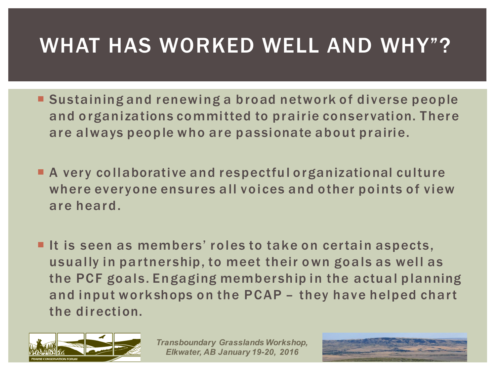# WHAT HAS WORKED WELL AND WHY"?

- ¡ Sustaining and renewing a broad network of diverse people and organizations committed to prairie conservation. There are always people who are passionate about prairie.
- ¡ A very collaborative and respectful organizational culture where everyone ensures all voices and other points of view are heard.
- **If is seen as members' roles to take on certain aspects,** usually in partnership, to meet their own goals as well as the PCF goals. Engaging membership in the actual planning and input workshops on the PCAP – they have helped chart the direction.



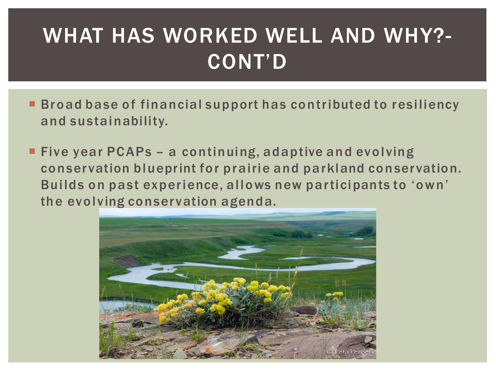# WHAT HAS WORKED WELL AND WHY?- CONT'D

- Broad base of financial support has contributed to resiliency and sustainability.
- Five year PCAPs a continuing, adaptive and evolving conservation blueprint for prairie and parkland conservation. Builds on past experience, allows new participants to 'own' the evolving conservation agenda.

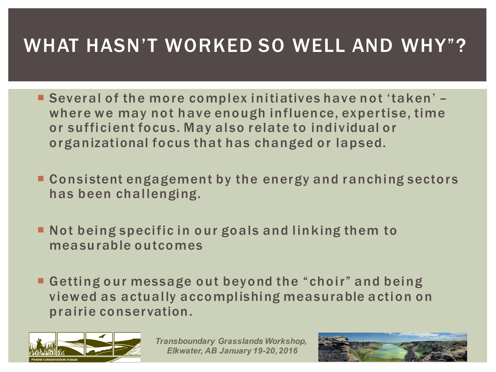### WHAT HASN'T WORKED SO WELL AND WHY"?

- ¡ Several of the more complex initiatives have not 'taken' where we may not have enough influence, expertise, time or sufficient focus. May also relate to individual or organizational focus that has changed or lapsed.
- Consistent engagement by the energy and ranching sectors has been challenging.
- ¡ Not being specific in our goals and linking them to measurable outcomes
- ¡ Getting our message out beyond the " choir" and being viewed as actually accomplishing measurable action on prairie conservation.